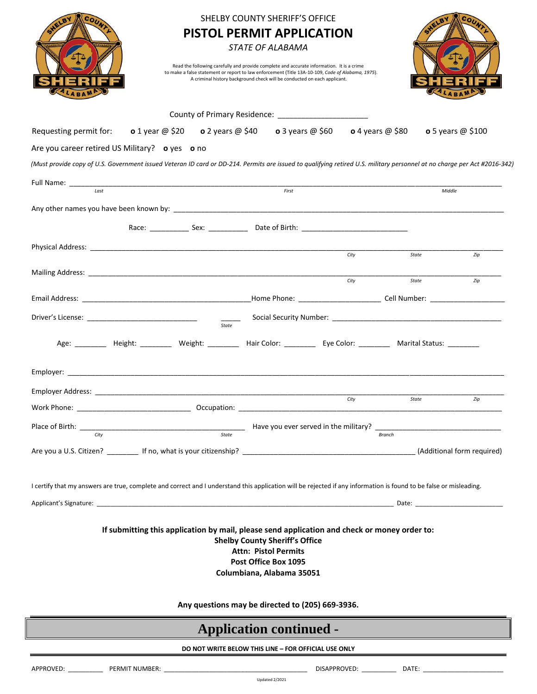|                                                                                                                                                                                                                                                                                                                   |                   | <b>PISTOL PERMIT APPLICATION</b><br>Read the following carefully and provide complete and accurate information. It is a crime<br>to make a false statement or report to law enforcement (Title 13A-10-109, Code of Alabama, 1975).<br>A criminal history background check will be conducted on each applicant. | SHELBY COUNTY SHERIFF'S OFFICE<br><b>STATE OF ALABAMA</b>                                                                 |                                                                                                                    |                                                                                                                                                                          |  |  |
|-------------------------------------------------------------------------------------------------------------------------------------------------------------------------------------------------------------------------------------------------------------------------------------------------------------------|-------------------|----------------------------------------------------------------------------------------------------------------------------------------------------------------------------------------------------------------------------------------------------------------------------------------------------------------|---------------------------------------------------------------------------------------------------------------------------|--------------------------------------------------------------------------------------------------------------------|--------------------------------------------------------------------------------------------------------------------------------------------------------------------------|--|--|
| County of Primary Residence: ________________________                                                                                                                                                                                                                                                             |                   |                                                                                                                                                                                                                                                                                                                |                                                                                                                           |                                                                                                                    |                                                                                                                                                                          |  |  |
| Requesting permit for:                                                                                                                                                                                                                                                                                            | o 1 year $@$ \$20 | <b>o</b> 2 years @ \$40 <b>o</b> 3 years @ \$60 <b>o</b> 4 years @ \$80                                                                                                                                                                                                                                        |                                                                                                                           |                                                                                                                    | o 5 years $@$ \$100                                                                                                                                                      |  |  |
| Are you career retired US Military? o yes o no                                                                                                                                                                                                                                                                    |                   |                                                                                                                                                                                                                                                                                                                |                                                                                                                           |                                                                                                                    |                                                                                                                                                                          |  |  |
|                                                                                                                                                                                                                                                                                                                   |                   |                                                                                                                                                                                                                                                                                                                |                                                                                                                           |                                                                                                                    | (Must provide copy of U.S. Government issued Veteran ID card or DD-214. Permits are issued to qualifying retired U.S. military personnel at no charge per Act #2016-342) |  |  |
|                                                                                                                                                                                                                                                                                                                   | First             |                                                                                                                                                                                                                                                                                                                |                                                                                                                           |                                                                                                                    | Middle                                                                                                                                                                   |  |  |
|                                                                                                                                                                                                                                                                                                                   |                   |                                                                                                                                                                                                                                                                                                                |                                                                                                                           |                                                                                                                    |                                                                                                                                                                          |  |  |
|                                                                                                                                                                                                                                                                                                                   |                   |                                                                                                                                                                                                                                                                                                                |                                                                                                                           |                                                                                                                    |                                                                                                                                                                          |  |  |
|                                                                                                                                                                                                                                                                                                                   |                   |                                                                                                                                                                                                                                                                                                                |                                                                                                                           |                                                                                                                    |                                                                                                                                                                          |  |  |
|                                                                                                                                                                                                                                                                                                                   |                   |                                                                                                                                                                                                                                                                                                                |                                                                                                                           | City                                                                                                               | State<br>Zip                                                                                                                                                             |  |  |
|                                                                                                                                                                                                                                                                                                                   |                   |                                                                                                                                                                                                                                                                                                                |                                                                                                                           | City                                                                                                               |                                                                                                                                                                          |  |  |
|                                                                                                                                                                                                                                                                                                                   |                   |                                                                                                                                                                                                                                                                                                                |                                                                                                                           |                                                                                                                    | State<br>Zip                                                                                                                                                             |  |  |
|                                                                                                                                                                                                                                                                                                                   |                   |                                                                                                                                                                                                                                                                                                                |                                                                                                                           |                                                                                                                    |                                                                                                                                                                          |  |  |
|                                                                                                                                                                                                                                                                                                                   |                   |                                                                                                                                                                                                                                                                                                                |                                                                                                                           |                                                                                                                    |                                                                                                                                                                          |  |  |
|                                                                                                                                                                                                                                                                                                                   |                   |                                                                                                                                                                                                                                                                                                                |                                                                                                                           | Age: _________ Height: ________ Weight: ________ Hair Color: ________ Eye Color: ________ Marital Status: ________ |                                                                                                                                                                          |  |  |
|                                                                                                                                                                                                                                                                                                                   |                   |                                                                                                                                                                                                                                                                                                                |                                                                                                                           |                                                                                                                    |                                                                                                                                                                          |  |  |
|                                                                                                                                                                                                                                                                                                                   |                   |                                                                                                                                                                                                                                                                                                                |                                                                                                                           |                                                                                                                    |                                                                                                                                                                          |  |  |
|                                                                                                                                                                                                                                                                                                                   |                   |                                                                                                                                                                                                                                                                                                                |                                                                                                                           | City                                                                                                               | State<br>Zip                                                                                                                                                             |  |  |
| Work Phone:                                                                                                                                                                                                                                                                                                       |                   |                                                                                                                                                                                                                                                                                                                |                                                                                                                           |                                                                                                                    |                                                                                                                                                                          |  |  |
| Place of Birth: $\frac{C}{C}$ $\frac{C}{C}$ $\frac{C}{C}$ $\frac{C}{C}$ $\frac{C}{C}$ $\frac{C}{C}$ $\frac{C}{C}$ $\frac{C}{C}$ $\frac{C}{C}$ $\frac{C}{C}$ $\frac{C}{C}$ $\frac{C}{C}$ $\frac{C}{C}$ $\frac{C}{C}$ $\frac{C}{C}$ $\frac{C}{C}$ $\frac{C}{C}$ $\frac{C}{C}$ $\frac{C}{C}$ $\frac{C}{C}$ $\frac{C$ |                   |                                                                                                                                                                                                                                                                                                                |                                                                                                                           |                                                                                                                    |                                                                                                                                                                          |  |  |
|                                                                                                                                                                                                                                                                                                                   |                   |                                                                                                                                                                                                                                                                                                                |                                                                                                                           |                                                                                                                    |                                                                                                                                                                          |  |  |
|                                                                                                                                                                                                                                                                                                                   |                   |                                                                                                                                                                                                                                                                                                                |                                                                                                                           |                                                                                                                    |                                                                                                                                                                          |  |  |
| I certify that my answers are true, complete and correct and I understand this application will be rejected if any information is found to be false or misleading.                                                                                                                                                |                   |                                                                                                                                                                                                                                                                                                                |                                                                                                                           |                                                                                                                    |                                                                                                                                                                          |  |  |
|                                                                                                                                                                                                                                                                                                                   |                   |                                                                                                                                                                                                                                                                                                                |                                                                                                                           |                                                                                                                    |                                                                                                                                                                          |  |  |
|                                                                                                                                                                                                                                                                                                                   |                   |                                                                                                                                                                                                                                                                                                                | <b>Shelby County Sheriff's Office</b><br><b>Attn: Pistol Permits</b><br>Post Office Box 1095<br>Columbiana, Alabama 35051 | If submitting this application by mail, please send application and check or money order to:                       |                                                                                                                                                                          |  |  |
| Any questions may be directed to (205) 669-3936.                                                                                                                                                                                                                                                                  |                   |                                                                                                                                                                                                                                                                                                                |                                                                                                                           |                                                                                                                    |                                                                                                                                                                          |  |  |
| <b>Application continued -</b>                                                                                                                                                                                                                                                                                    |                   |                                                                                                                                                                                                                                                                                                                |                                                                                                                           |                                                                                                                    |                                                                                                                                                                          |  |  |
| DO NOT WRITE BELOW THIS LINE - FOR OFFICIAL USE ONLY                                                                                                                                                                                                                                                              |                   |                                                                                                                                                                                                                                                                                                                |                                                                                                                           |                                                                                                                    |                                                                                                                                                                          |  |  |
|                                                                                                                                                                                                                                                                                                                   |                   |                                                                                                                                                                                                                                                                                                                |                                                                                                                           |                                                                                                                    |                                                                                                                                                                          |  |  |
|                                                                                                                                                                                                                                                                                                                   |                   |                                                                                                                                                                                                                                                                                                                | Updated 2/2021                                                                                                            |                                                                                                                    |                                                                                                                                                                          |  |  |